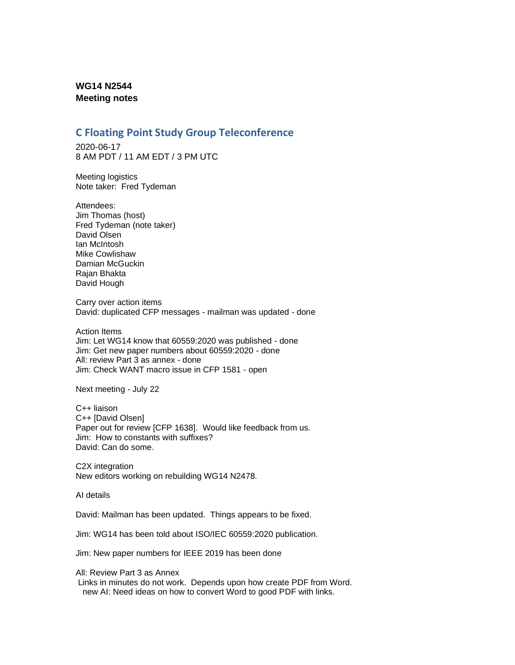## **WG14 N2544 Meeting notes**

## **C Floating Point Study Group Teleconference**

2020-06-17 8 AM PDT / 11 AM EDT / 3 PM UTC

Meeting logistics Note taker: Fred Tydeman

Attendees: Jim Thomas (host) Fred Tydeman (note taker) David Olsen Ian McIntosh Mike Cowlishaw Damian McGuckin Rajan Bhakta David Hough

Carry over action items David: duplicated CFP messages - mailman was updated - done

Action Items Jim: Let WG14 know that 60559:2020 was published - done Jim: Get new paper numbers about 60559:2020 - done All: review Part 3 as annex - done Jim: Check WANT macro issue in CFP 1581 - open

Next meeting - July 22

C++ liaison C++ [David Olsen] Paper out for review [CFP 1638]. Would like feedback from us. Jim: How to constants with suffixes? David: Can do some.

C2X integration New editors working on rebuilding WG14 N2478.

AI details

David: Mailman has been updated. Things appears to be fixed.

Jim: WG14 has been told about ISO/IEC 60559:2020 publication.

Jim: New paper numbers for IEEE 2019 has been done

All: Review Part 3 as Annex

Links in minutes do not work. Depends upon how create PDF from Word. new AI: Need ideas on how to convert Word to good PDF with links.